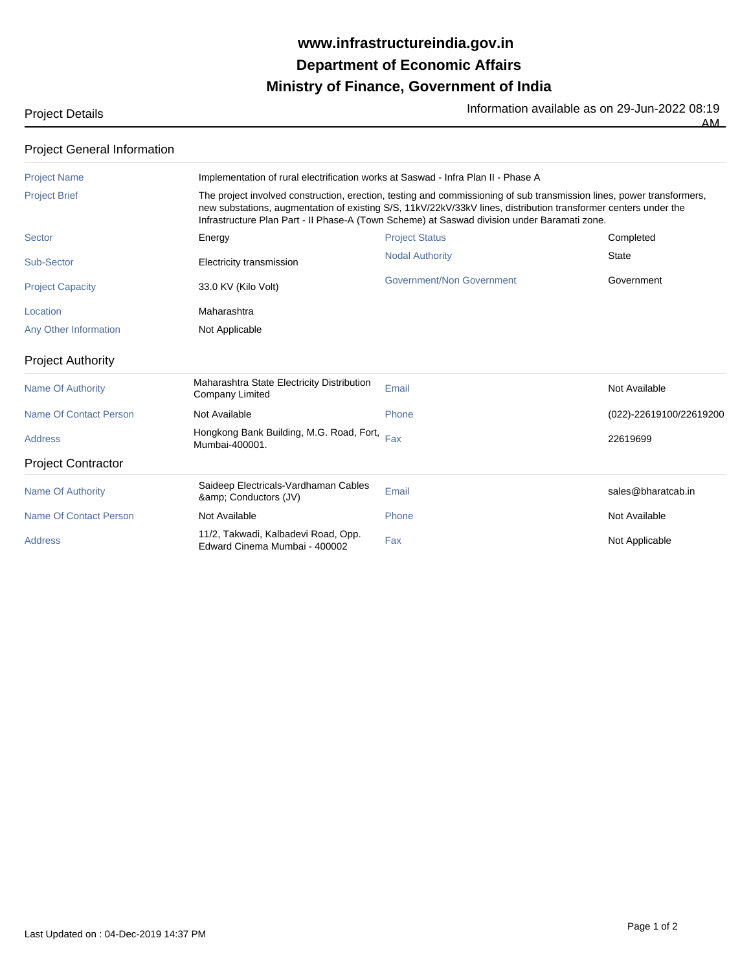## **Ministry of Finance, Government of India Department of Economic Affairs www.infrastructureindia.gov.in**

Project Details **Information available as on 29-Jun-2022 08:19** 

 $\overline{AM}$ 

Project General Information

| <b>Project Name</b>           | Implementation of rural electrification works at Saswad - Infra Plan II - Phase A                                                                                                                                                                                                                                                       |                           |                         |  |
|-------------------------------|-----------------------------------------------------------------------------------------------------------------------------------------------------------------------------------------------------------------------------------------------------------------------------------------------------------------------------------------|---------------------------|-------------------------|--|
| <b>Project Brief</b>          | The project involved construction, erection, testing and commissioning of sub transmission lines, power transformers,<br>new substations, augmentation of existing S/S, 11kV/22kV/33kV lines, distribution transformer centers under the<br>Infrastructure Plan Part - II Phase-A (Town Scheme) at Saswad division under Baramati zone. |                           |                         |  |
| <b>Sector</b>                 | Energy                                                                                                                                                                                                                                                                                                                                  | <b>Project Status</b>     | Completed               |  |
| Sub-Sector                    | Electricity transmission                                                                                                                                                                                                                                                                                                                | <b>Nodal Authority</b>    | <b>State</b>            |  |
| <b>Project Capacity</b>       | 33.0 KV (Kilo Volt)                                                                                                                                                                                                                                                                                                                     | Government/Non Government | Government              |  |
| Location                      | Maharashtra                                                                                                                                                                                                                                                                                                                             |                           |                         |  |
| Any Other Information         | Not Applicable                                                                                                                                                                                                                                                                                                                          |                           |                         |  |
| <b>Project Authority</b>      |                                                                                                                                                                                                                                                                                                                                         |                           |                         |  |
| <b>Name Of Authority</b>      | Maharashtra State Electricity Distribution<br><b>Company Limited</b>                                                                                                                                                                                                                                                                    | Email                     | Not Available           |  |
| <b>Name Of Contact Person</b> | Not Available                                                                                                                                                                                                                                                                                                                           | Phone                     | (022)-22619100/22619200 |  |
| <b>Address</b>                | Hongkong Bank Building, M.G. Road, Fort,<br>Mumbai-400001.                                                                                                                                                                                                                                                                              | Fax                       | 22619699                |  |
| <b>Project Contractor</b>     |                                                                                                                                                                                                                                                                                                                                         |                           |                         |  |
| <b>Name Of Authority</b>      | Saideep Electricals-Vardhaman Cables<br>& Conductors (JV)                                                                                                                                                                                                                                                                               | Email                     | sales@bharatcab.in      |  |
| Name Of Contact Person        | Not Available                                                                                                                                                                                                                                                                                                                           | Phone                     | Not Available           |  |
| <b>Address</b>                | 11/2, Takwadi, Kalbadevi Road, Opp.<br>Edward Cinema Mumbai - 400002                                                                                                                                                                                                                                                                    | Fax                       | Not Applicable          |  |
|                               |                                                                                                                                                                                                                                                                                                                                         |                           |                         |  |